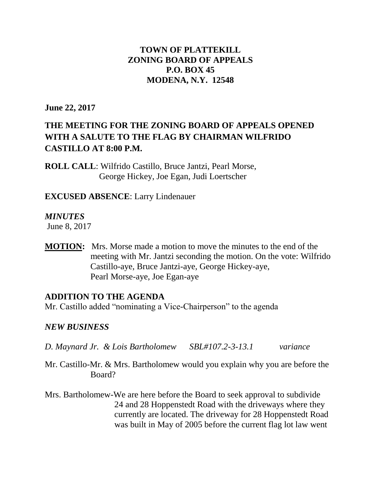### **TOWN OF PLATTEKILL ZONING BOARD OF APPEALS P.O. BOX 45 MODENA, N.Y. 12548**

**June 22, 2017**

# **THE MEETING FOR THE ZONING BOARD OF APPEALS OPENED WITH A SALUTE TO THE FLAG BY CHAIRMAN WILFRIDO CASTILLO AT 8:00 P.M.**

**ROLL CALL**: Wilfrido Castillo, Bruce Jantzi, Pearl Morse, George Hickey, Joe Egan, Judi Loertscher

**EXCUSED ABSENCE**: Larry Lindenauer

#### *MINUTES*

June 8, 2017

**MOTION:** Mrs. Morse made a motion to move the minutes to the end of the meeting with Mr. Jantzi seconding the motion. On the vote: Wilfrido Castillo-aye, Bruce Jantzi-aye, George Hickey-aye, Pearl Morse-aye, Joe Egan-aye

### **ADDITION TO THE AGENDA**

Mr. Castillo added "nominating a Vice-Chairperson" to the agenda

### *NEW BUSINESS*

*D. Maynard Jr. & Lois Bartholomew SBL#107.2-3-13.1 variance*

Mr. Castillo-Mr. & Mrs. Bartholomew would you explain why you are before the Board?

Mrs. Bartholomew-We are here before the Board to seek approval to subdivide 24 and 28 Hoppenstedt Road with the driveways where they currently are located. The driveway for 28 Hoppenstedt Road was built in May of 2005 before the current flag lot law went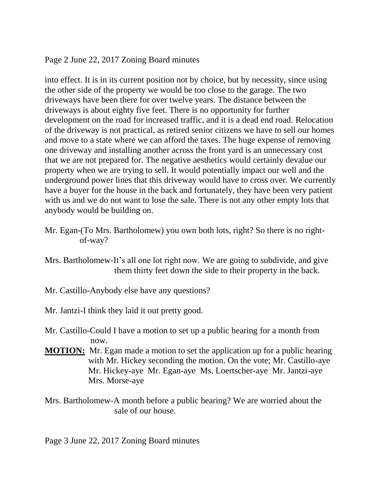Page 2 June 22, 2017 Zoning Board minutes

into effect. It is in its current position not by choice, but by necessity, since using the other side of the property we would be too close to the garage. The two driveways have been there for over twelve years. The distance between the driveways is about eighty five feet. There is no opportunity for further development on the road for increased traffic, and it is a dead end road. Relocation of the driveway is not practical, as retired senior citizens we have to sell our homes and move to a state where we can afford the taxes. The huge expense of removing one driveway and installing another across the front yard is an unnecessary cost that we are not prepared for. The negative aesthetics would certainly devalue our property when we are trying to sell. It would potentially impact our well and the underground power lines that this driveway would have to cross over. We currently have a buyer for the house in the back and fortunately, they have been very patient with us and we do not want to lose the sale. There is not any other empty lots that anybody would be building on.

- Mr. Egan-(To Mrs. Bartholomew) you own both lots, right? So there is no right of-way?
- Mrs. Bartholomew-It's all one lot right now. We are going to subdivide, and give them thirty feet down the side to their property in the back.
- Mr. Castillo-Anybody else have any questions?
- Mr. Jantzi-I think they laid it out pretty good.
- Mr. Castillo-Could I have a motion to set up a public hearing for a month from now.
- **MOTION:** Mr. Egan made a motion to set the application up for a public hearing with Mr. Hickey seconding the motion. On the vote; Mr. Castillo-aye Mr. Hickey-aye Mr. Egan-aye Ms. Loertscher-aye Mr. Jantzi-aye Mrs. Morse-aye

Mrs. Bartholomew-A month before a public hearing? We are worried about the sale of our house.

Page 3 June 22, 2017 Zoning Board minutes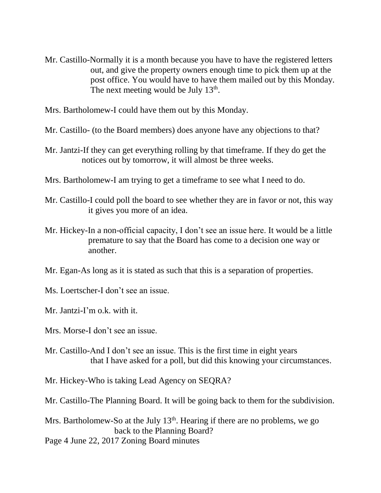- Mr. Castillo-Normally it is a month because you have to have the registered letters out, and give the property owners enough time to pick them up at the post office. You would have to have them mailed out by this Monday. The next meeting would be July  $13<sup>th</sup>$ .
- Mrs. Bartholomew-I could have them out by this Monday.
- Mr. Castillo- (to the Board members) does anyone have any objections to that?
- Mr. Jantzi-If they can get everything rolling by that timeframe. If they do get the notices out by tomorrow, it will almost be three weeks.
- Mrs. Bartholomew-I am trying to get a timeframe to see what I need to do.
- Mr. Castillo-I could poll the board to see whether they are in favor or not, this way it gives you more of an idea.
- Mr. Hickey-In a non-official capacity, I don't see an issue here. It would be a little premature to say that the Board has come to a decision one way or another.
- Mr. Egan-As long as it is stated as such that this is a separation of properties.
- Ms. Loertscher-I don't see an issue.
- Mr. Jantzi-I'm o.k. with it.
- Mrs. Morse-I don't see an issue.
- Mr. Castillo-And I don't see an issue. This is the first time in eight years that I have asked for a poll, but did this knowing your circumstances.

Mr. Hickey-Who is taking Lead Agency on SEQRA?

Mr. Castillo-The Planning Board. It will be going back to them for the subdivision.

Mrs. Bartholomew-So at the July  $13<sup>th</sup>$ . Hearing if there are no problems, we go back to the Planning Board?

Page 4 June 22, 2017 Zoning Board minutes